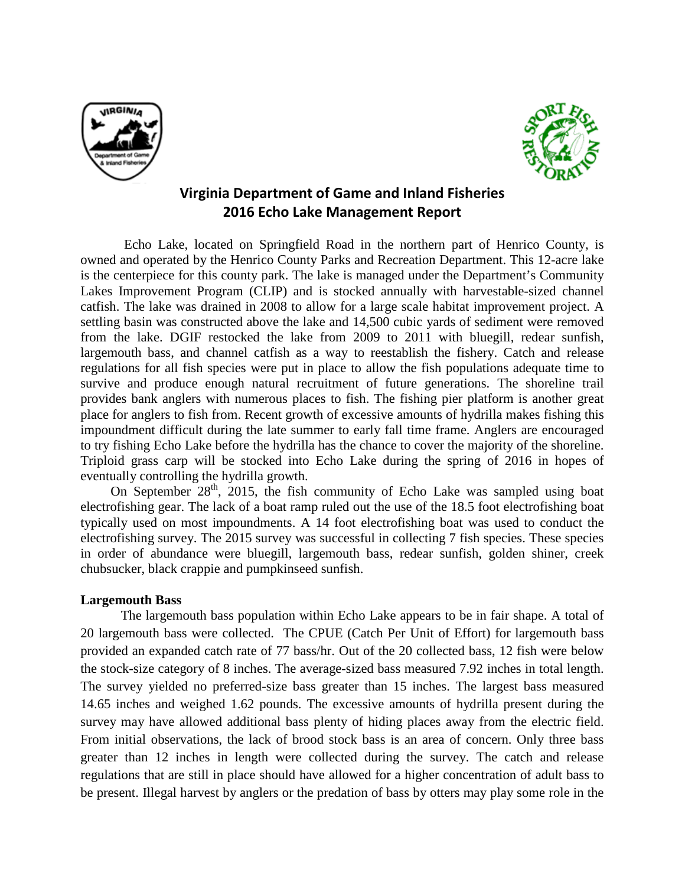



## **Virginia Department of Game and Inland Fisheries 2016 Echo Lake Management Report**

Echo Lake, located on Springfield Road in the northern part of Henrico County, is owned and operated by the Henrico County Parks and Recreation Department. This 12-acre lake is the centerpiece for this county park. The lake is managed under the Department's Community Lakes Improvement Program (CLIP) and is stocked annually with harvestable-sized channel catfish. The lake was drained in 2008 to allow for a large scale habitat improvement project. A settling basin was constructed above the lake and 14,500 cubic yards of sediment were removed from the lake. DGIF restocked the lake from 2009 to 2011 with bluegill, redear sunfish, largemouth bass, and channel catfish as a way to reestablish the fishery. Catch and release regulations for all fish species were put in place to allow the fish populations adequate time to survive and produce enough natural recruitment of future generations. The shoreline trail provides bank anglers with numerous places to fish. The fishing pier platform is another great place for anglers to fish from. Recent growth of excessive amounts of hydrilla makes fishing this impoundment difficult during the late summer to early fall time frame. Anglers are encouraged to try fishing Echo Lake before the hydrilla has the chance to cover the majority of the shoreline. Triploid grass carp will be stocked into Echo Lake during the spring of 2016 in hopes of eventually controlling the hydrilla growth.

On September  $28<sup>th</sup>$ , 2015, the fish community of Echo Lake was sampled using boat electrofishing gear. The lack of a boat ramp ruled out the use of the 18.5 foot electrofishing boat typically used on most impoundments. A 14 foot electrofishing boat was used to conduct the electrofishing survey. The 2015 survey was successful in collecting 7 fish species. These species in order of abundance were bluegill, largemouth bass, redear sunfish, golden shiner, creek chubsucker, black crappie and pumpkinseed sunfish.

## **Largemouth Bass**

The largemouth bass population within Echo Lake appears to be in fair shape. A total of 20 largemouth bass were collected. The CPUE (Catch Per Unit of Effort) for largemouth bass provided an expanded catch rate of 77 bass/hr. Out of the 20 collected bass, 12 fish were below the stock-size category of 8 inches. The average-sized bass measured 7.92 inches in total length. The survey yielded no preferred-size bass greater than 15 inches. The largest bass measured 14.65 inches and weighed 1.62 pounds. The excessive amounts of hydrilla present during the survey may have allowed additional bass plenty of hiding places away from the electric field. From initial observations, the lack of brood stock bass is an area of concern. Only three bass greater than 12 inches in length were collected during the survey. The catch and release regulations that are still in place should have allowed for a higher concentration of adult bass to be present. Illegal harvest by anglers or the predation of bass by otters may play some role in the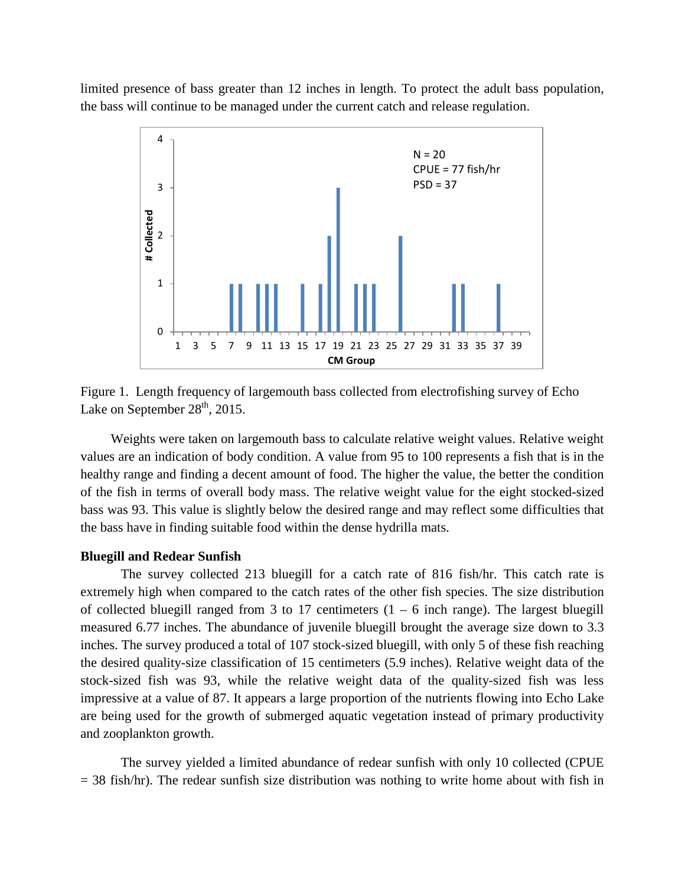limited presence of bass greater than 12 inches in length. To protect the adult bass population, the bass will continue to be managed under the current catch and release regulation.



Figure 1. Length frequency of largemouth bass collected from electrofishing survey of Echo Lake on September  $28<sup>th</sup>$ , 2015.

Weights were taken on largemouth bass to calculate relative weight values. Relative weight values are an indication of body condition. A value from 95 to 100 represents a fish that is in the healthy range and finding a decent amount of food. The higher the value, the better the condition of the fish in terms of overall body mass. The relative weight value for the eight stocked-sized bass was 93. This value is slightly below the desired range and may reflect some difficulties that the bass have in finding suitable food within the dense hydrilla mats.

## **Bluegill and Redear Sunfish**

The survey collected 213 bluegill for a catch rate of 816 fish/hr. This catch rate is extremely high when compared to the catch rates of the other fish species. The size distribution of collected bluegill ranged from 3 to 17 centimeters  $(1 - 6$  inch range). The largest bluegill measured 6.77 inches. The abundance of juvenile bluegill brought the average size down to 3.3 inches. The survey produced a total of 107 stock-sized bluegill, with only 5 of these fish reaching the desired quality-size classification of 15 centimeters (5.9 inches). Relative weight data of the stock-sized fish was 93, while the relative weight data of the quality-sized fish was less impressive at a value of 87. It appears a large proportion of the nutrients flowing into Echo Lake are being used for the growth of submerged aquatic vegetation instead of primary productivity and zooplankton growth.

The survey yielded a limited abundance of redear sunfish with only 10 collected (CPUE  $= 38$  fish/hr). The redear sunfish size distribution was nothing to write home about with fish in